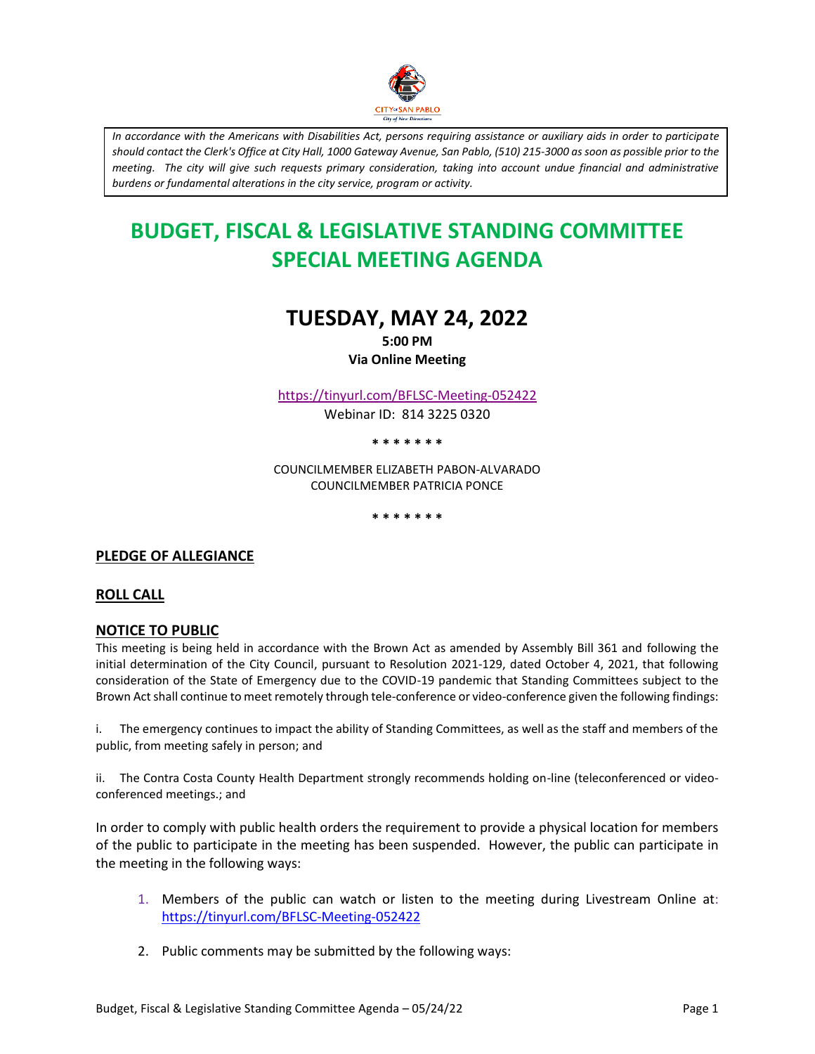

*In accordance with the Americans with Disabilities Act, persons requiring assistance or auxiliary aids in order to participate should contact the Clerk's Office at City Hall, 1000 Gateway Avenue, San Pablo, (510) 215-3000 as soon as possible prior to the meeting. The city will give such requests primary consideration, taking into account undue financial and administrative burdens or fundamental alterations in the city service, program or activity.*

# **BUDGET, FISCAL & LEGISLATIVE STANDING COMMITTEE SPECIAL MEETING AGENDA**

# **TUESDAY, MAY 24, 2022**

**5:00 PM Via Online Meeting**

<https://tinyurl.com/BFLSC-Meeting-052422>

Webinar ID: 814 3225 0320

**\* \* \* \* \* \* \***

COUNCILMEMBER ELIZABETH PABON-ALVARADO COUNCILMEMBER PATRICIA PONCE

**\* \* \* \* \* \* \***

## **PLEDGE OF ALLEGIANCE**

#### **ROLL CALL**

#### **NOTICE TO PUBLIC**

This meeting is being held in accordance with the Brown Act as amended by Assembly Bill 361 and following the initial determination of the City Council, pursuant to Resolution 2021-129, dated October 4, 2021, that following consideration of the State of Emergency due to the COVID-19 pandemic that Standing Committees subject to the Brown Act shall continue to meet remotely through tele-conference or video-conference given the following findings:

i. The emergency continues to impact the ability of Standing Committees, as well as the staff and members of the public, from meeting safely in person; and

ii. The Contra Costa County Health Department strongly recommends holding on-line (teleconferenced or videoconferenced meetings.; and

In order to comply with public health orders the requirement to provide a physical location for members of the public to participate in the meeting has been suspended. However, the public can participate in the meeting in the following ways:

- 1. Members of the public can watch or listen to the meeting during Livestream Online at: <https://tinyurl.com/BFLSC-Meeting-052422>
- 2. Public comments may be submitted by the following ways: